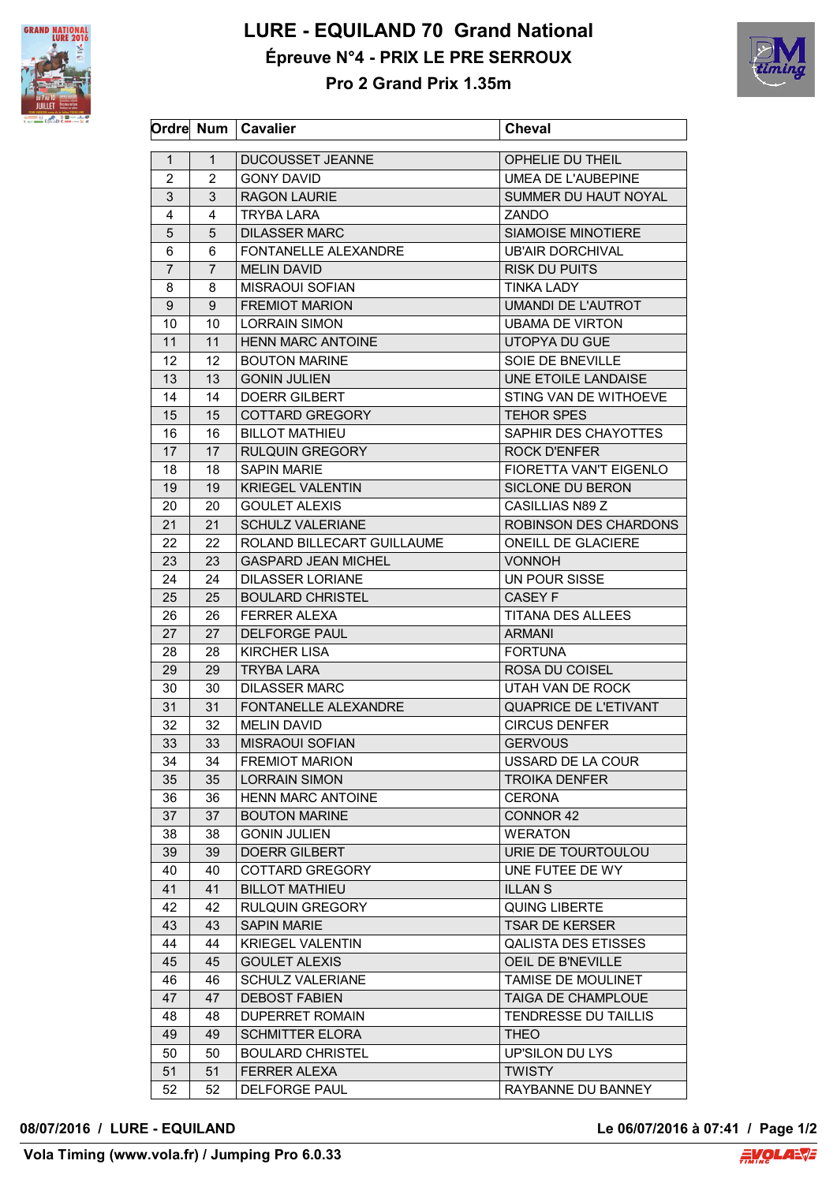

## **LURE - EQUILAND 70 Grand National Épreuve N°4 - PRIX LE PRE SERROUX**



**Pro 2 Grand Prix 1.35m**

|                |                | Ordre Num   Cavalier       | <b>Cheval</b>              |
|----------------|----------------|----------------------------|----------------------------|
| $\mathbf{1}$   | $\mathbf{1}$   | DUCOUSSET JEANNE           | OPHELIE DU THEIL           |
| 2              | 2              | <b>GONY DAVID</b>          | UMEA DE L'AUBEPINE         |
| 3              | 3              | <b>RAGON LAURIE</b>        | SUMMER DU HAUT NOYAL       |
| 4              | 4              | TRYBA LARA                 | ZANDO                      |
| 5              | 5              | <b>DILASSER MARC</b>       | <b>SIAMOISE MINOTIERE</b>  |
| 6              | 6              | FONTANELLE ALEXANDRE       | <b>UB'AIR DORCHIVAL</b>    |
| $\overline{7}$ | $\overline{7}$ | <b>MELIN DAVID</b>         | <b>RISK DU PUITS</b>       |
| 8              | 8              | <b>MISRAOUI SOFIAN</b>     | TINKA LADY                 |
| 9              | 9              | <b>FREMIOT MARION</b>      | <b>UMANDI DE L'AUTROT</b>  |
| 10             | 10             | <b>LORRAIN SIMON</b>       | <b>UBAMA DE VIRTON</b>     |
| 11             | 11             | <b>HENN MARC ANTOINE</b>   | UTOPYA DU GUE              |
| 12             | 12             | <b>BOUTON MARINE</b>       | SOIE DE BNEVILLE           |
| 13             | 13             | <b>GONIN JULIEN</b>        | UNE ETOILE LANDAISE        |
|                |                | <b>DOERR GILBERT</b>       |                            |
| 14             | 14             |                            | STING VAN DE WITHOEVE      |
| 15             | 15             | <b>COTTARD GREGORY</b>     | <b>TEHOR SPES</b>          |
| 16             | 16             | <b>BILLOT MATHIEU</b>      | SAPHIR DES CHAYOTTES       |
| 17             | 17             | <b>RULQUIN GREGORY</b>     | <b>ROCK D'ENFER</b>        |
| 18             | 18             | <b>SAPIN MARIE</b>         | FIORETTA VAN'T EIGENLO     |
| 19             | 19             | <b>KRIEGEL VALENTIN</b>    | <b>SICLONE DU BERON</b>    |
| 20             | 20             | <b>GOULET ALEXIS</b>       | CASILLIAS N89 Z            |
| 21             | 21             | <b>SCHULZ VALERIANE</b>    | ROBINSON DES CHARDONS      |
| 22             | 22             | ROLAND BILLECART GUILLAUME | <b>ONEILL DE GLACIERE</b>  |
| 23             | 23             | <b>GASPARD JEAN MICHEL</b> | <b>VONNOH</b>              |
| 24             | 24             | <b>DILASSER LORIANE</b>    | UN POUR SISSE              |
| 25             | 25             | <b>BOULARD CHRISTEL</b>    | CASEY F                    |
| 26             | 26             | <b>FERRER ALEXA</b>        | TITANA DES ALLEES          |
| 27             | 27             | <b>DELFORGE PAUL</b>       | <b>ARMANI</b>              |
| 28             | 28             | <b>KIRCHER LISA</b>        | <b>FORTUNA</b>             |
| 29             | 29             | <b>TRYBA LARA</b>          | ROSA DU COISEL             |
| 30             | 30             | <b>DILASSER MARC</b>       | UTAH VAN DE ROCK           |
| 31             | 31             | FONTANELLE ALEXANDRE       | QUAPRICE DE L'ETIVANT      |
| 32             | 32             | <b>MELIN DAVID</b>         | <b>CIRCUS DENFER</b>       |
| 33             | 33             | <b>MISRAOUI SOFIAN</b>     | <b>GERVOUS</b>             |
| 34             | 34             | <b>FREMIOT MARION</b>      | USSARD DE LA COUR          |
| 35             | 35             | <b>LORRAIN SIMON</b>       | <b>TROIKA DENFER</b>       |
| 36             | 36             | <b>HENN MARC ANTOINE</b>   | <b>CERONA</b>              |
| 37             | 37             | <b>BOUTON MARINE</b>       | CONNOR 42                  |
| 38             | 38             | <b>GONIN JULIEN</b>        | <b>WERATON</b>             |
| 39             | 39             | <b>DOERR GILBERT</b>       | URIE DE TOURTOULOU         |
| 40             | 40             | COTTARD GREGORY            | UNE FUTEE DE WY            |
| 41             | 41             | <b>BILLOT MATHIEU</b>      | <b>ILLANS</b>              |
| 42             | 42             | <b>RULQUIN GREGORY</b>     | <b>QUING LIBERTE</b>       |
| 43             | 43             | <b>SAPIN MARIE</b>         | <b>TSAR DE KERSER</b>      |
| 44             | 44             | <b>KRIEGEL VALENTIN</b>    | <b>QALISTA DES ETISSES</b> |
| 45             | 45             | <b>GOULET ALEXIS</b>       | OEIL DE B'NEVILLE          |
| 46             | 46             | <b>SCHULZ VALERIANE</b>    | TAMISE DE MOULINET         |
| 47             | 47             | <b>DEBOST FABIEN</b>       | TAIGA DE CHAMPLOUE         |
| 48             | 48             | <b>DUPERRET ROMAIN</b>     | TENDRESSE DU TAILLIS       |
| 49             | 49             | <b>SCHMITTER ELORA</b>     | <b>THEO</b>                |
| 50             | 50             | <b>BOULARD CHRISTEL</b>    | UP'SILON DU LYS            |
| 51             | 51             | <b>FERRER ALEXA</b>        | <b>TWISTY</b>              |
| 52             | 52             | <b>DELFORGE PAUL</b>       | RAYBANNE DU BANNEY         |
|                |                |                            |                            |